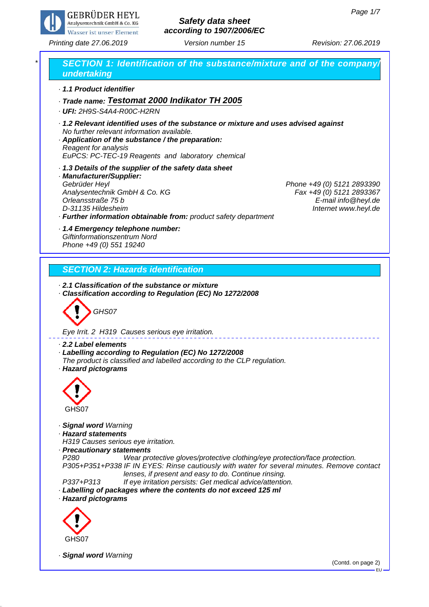EU



# *Safety data sheet according to 1907/2006/EC*

*Printing date 27.06.2019 Revision: 27.06.2019 Version number 15*

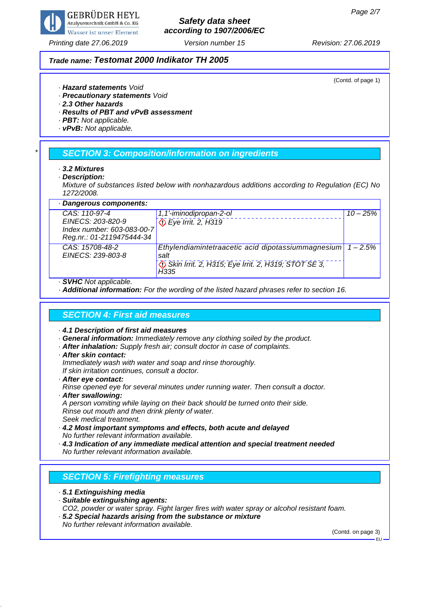

## *Safety data sheet according to 1907/2006/EC*

#### *Trade name: Testomat 2000 Indikator TH 2005*

(Contd. of page 1)

- *· Hazard statements Void*
- *· Precautionary statements Void*
- *· 2.3 Other hazards*
- *· Results of PBT and vPvB assessment*
- *· PBT: Not applicable.*
- *· vPvB: Not applicable.*

## *\* SECTION 3: Composition/information on ingredients*

- *· 3.2 Mixtures*
- *· Description:*
- *Mixture of substances listed below with nonhazardous additions according to Regulation (EC) No 1272/2008.*

| · Dangerous components:              |                                                             |            |
|--------------------------------------|-------------------------------------------------------------|------------|
| $CAS: 110-97-4$                      | 1,1'-iminodipropan-2-ol                                     | $10 - 25%$ |
| EINECS: 203-820-9                    | Eye Irrit. 2, H319                                          |            |
| Index number: 603-083-00-7           |                                                             |            |
| Reg.nr.: 01-2119475444-34            |                                                             |            |
| CAS: 15708-48-2<br>EINECS: 239-803-8 | Ethylendiamintetraacetic acid dipotassiummagnesium<br>salt  | $-2.5%$    |
|                                      | Skin Irrit. 2, H315; Eye Irrit. 2, H319; STOT SE 3,<br>H335 |            |
|                                      |                                                             |            |

- *· SVHC Not applicable.*
- *· Additional information: For the wording of the listed hazard phrases refer to section 16.*

## *SECTION 4: First aid measures*

- *· 4.1 Description of first aid measures*
- *· General information: Immediately remove any clothing soiled by the product.*
- *· After inhalation: Supply fresh air; consult doctor in case of complaints.*
- *· After skin contact:*
- *Immediately wash with water and soap and rinse thoroughly. If skin irritation continues, consult a doctor.*
- *· After eye contact:*
- *Rinse opened eye for several minutes under running water. Then consult a doctor.*
- *· After swallowing:*
- *A person vomiting while laying on their back should be turned onto their side. Rinse out mouth and then drink plenty of water.*
- *Seek medical treatment.*
- *· 4.2 Most important symptoms and effects, both acute and delayed No further relevant information available.*
- *· 4.3 Indication of any immediate medical attention and special treatment needed No further relevant information available.*

## *SECTION 5: Firefighting measures*

- *· 5.1 Extinguishing media*
- *· Suitable extinguishing agents:*
- *CO2, powder or water spray. Fight larger fires with water spray or alcohol resistant foam.*
- *· 5.2 Special hazards arising from the substance or mixture No further relevant information available.*

(Contd. on page 3)

EU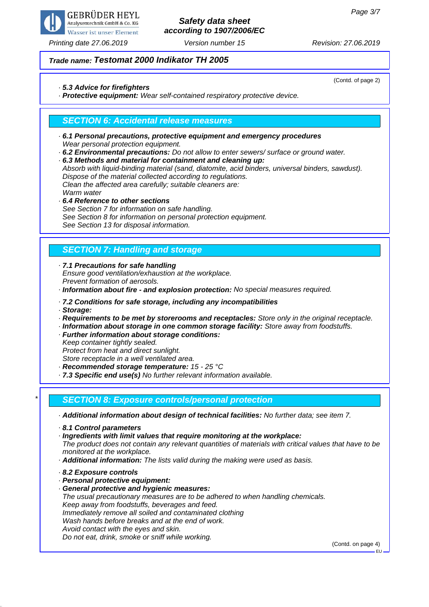

# *Safety data sheet according to 1907/2006/EC*

(Contd. of page 2)

## *Trade name: Testomat 2000 Indikator TH 2005*

### *· 5.3 Advice for firefighters*

*· Protective equipment: Wear self-contained respiratory protective device.*

## *SECTION 6: Accidental release measures*

- *· 6.1 Personal precautions, protective equipment and emergency procedures Wear personal protection equipment.*
- *· 6.2 Environmental precautions: Do not allow to enter sewers/ surface or ground water.*

*· 6.3 Methods and material for containment and cleaning up: Absorb with liquid-binding material (sand, diatomite, acid binders, universal binders, sawdust). Dispose of the material collected according to regulations. Clean the affected area carefully; suitable cleaners are: Warm water*

*· 6.4 Reference to other sections See Section 7 for information on safe handling. See Section 8 for information on personal protection equipment. See Section 13 for disposal information.*

## *SECTION 7: Handling and storage*

*· 7.1 Precautions for safe handling Ensure good ventilation/exhaustion at the workplace. Prevent formation of aerosols.*

*· Information about fire - and explosion protection: No special measures required.*

#### *· 7.2 Conditions for safe storage, including any incompatibilities*

*· Storage:*

- *· Requirements to be met by storerooms and receptacles: Store only in the original receptacle.*
- *· Information about storage in one common storage facility: Store away from foodstuffs.*
- *· Further information about storage conditions:*

*Keep container tightly sealed.*

*Protect from heat and direct sunlight.*

*Store receptacle in a well ventilated area.*

*· Recommended storage temperature: 15 - 25 °C*

*· 7.3 Specific end use(s) No further relevant information available.*

## *\* SECTION 8: Exposure controls/personal protection*

*· Additional information about design of technical facilities: No further data; see item 7.*

- *· 8.1 Control parameters*
- *· Ingredients with limit values that require monitoring at the workplace:*

*The product does not contain any relevant quantities of materials with critical values that have to be monitored at the workplace.*

- *· Additional information: The lists valid during the making were used as basis.*
- *· 8.2 Exposure controls*
- *· Personal protective equipment:*
- *· General protective and hygienic measures:*

*The usual precautionary measures are to be adhered to when handling chemicals. Keep away from foodstuffs, beverages and feed. Immediately remove all soiled and contaminated clothing Wash hands before breaks and at the end of work. Avoid contact with the eyes and skin. Do not eat, drink, smoke or sniff while working.*

(Contd. on page 4)

EU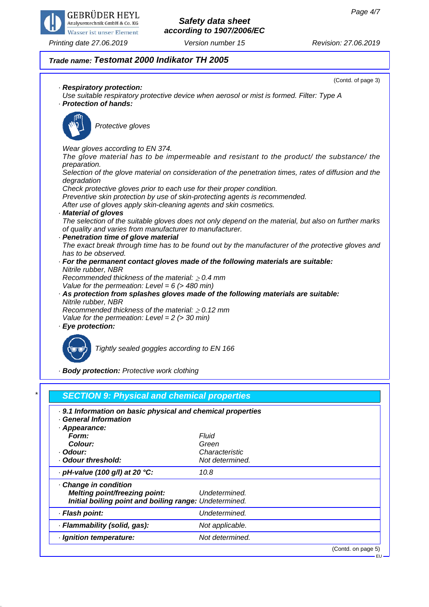

## *Safety data sheet according to 1907/2006/EC*

## *Trade name: Testomat 2000 Indikator TH 2005*

(Contd. of page 3) *· Respiratory protection: Use suitable respiratory protective device when aerosol or mist is formed. Filter: Type A · Protection of hands: Protective gloves Wear gloves according to EN 374. The glove material has to be impermeable and resistant to the product/ the substance/ the preparation. Selection of the glove material on consideration of the penetration times, rates of diffusion and the degradation Check protective gloves prior to each use for their proper condition. Preventive skin protection by use of skin-protecting agents is recommended. After use of gloves apply skin-cleaning agents and skin cosmetics. · Material of gloves The selection of the suitable gloves does not only depend on the material, but also on further marks of quality and varies from manufacturer to manufacturer. · Penetration time of glove material The exact break through time has to be found out by the manufacturer of the protective gloves and has to be observed. · For the permanent contact gloves made of the following materials are suitable: Nitrile rubber, NBR Recommended thickness of the material: 0.4 mm Value for the permeation: Level = 6 (> 480 min) · As protection from splashes gloves made of the following materials are suitable: Nitrile rubber, NBR Recommended thickness of the material: 0.12 mm Value for the permeation: Level = 2 (> 30 min) · Eye protection:*



*Tightly sealed goggles according to EN 166*

*· Body protection: Protective work clothing*

| . 9.1 Information on basic physical and chemical properties<br><b>General Information</b> |                 |  |
|-------------------------------------------------------------------------------------------|-----------------|--|
| · Appearance:                                                                             |                 |  |
| Form:                                                                                     | Fluid           |  |
| Colour:                                                                                   | Green           |  |
| · Odour:                                                                                  | Characteristic  |  |
| · Odour threshold:                                                                        | Not determined. |  |
| $\cdot$ pH-value (100 g/l) at 20 °C:                                                      | 10.8            |  |
| Change in condition                                                                       |                 |  |
| <b>Melting point/freezing point:</b>                                                      | Undetermined.   |  |
| Initial boiling point and boiling range: Undetermined.                                    |                 |  |
| · Flash point:                                                                            | Undetermined.   |  |
| · Flammability (solid, gas):                                                              | Not applicable. |  |
| · Ignition temperature:                                                                   | Not determined. |  |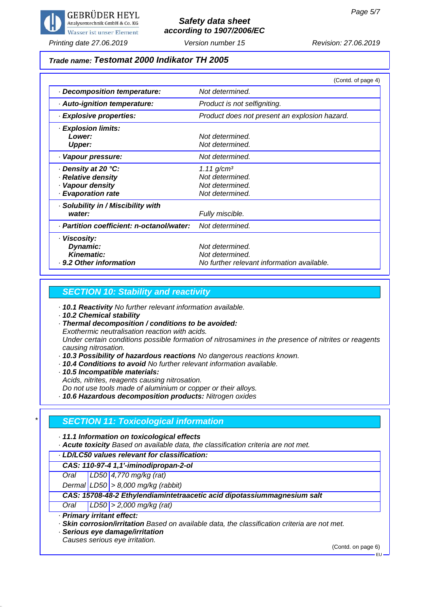

## *Safety data sheet according to 1907/2006/EC*

*Printing date 27.06.2019 Revision: 27.06.2019 Version number 15*

## *Trade name: Testomat 2000 Indikator TH 2005*

|                                           | (Contd. of page 4)                            |
|-------------------------------------------|-----------------------------------------------|
| Decomposition temperature:                | Not determined.                               |
| · Auto-ignition temperature:              | Product is not selfigniting.                  |
| · Explosive properties:                   | Product does not present an explosion hazard. |
| · Explosion limits:                       |                                               |
| Lower:                                    | Not determined.                               |
| <b>Upper:</b>                             | Not determined.                               |
| · Vapour pressure:                        | Not determined.                               |
| ⋅ Density at 20 °C:                       | $1.11$ g/cm <sup>3</sup>                      |
| · Relative density                        | Not determined.                               |
| · Vapour density                          | Not determined.                               |
| <b>Evaporation rate</b>                   | Not determined.                               |
| · Solubility in / Miscibility with        |                                               |
| water:                                    | Fully miscible.                               |
| · Partition coefficient: n-octanol/water: | Not determined.                               |
| · Viscosity:                              |                                               |
| Dynamic:                                  | Not determined.                               |
| <b>Kinematic:</b>                         | Not determined.                               |
| · 9.2 Other information                   | No further relevant information available.    |

## *SECTION 10: Stability and reactivity*

*· 10.1 Reactivity No further relevant information available.*

*· 10.2 Chemical stability*

*· Thermal decomposition / conditions to be avoided:*

*Exothermic neutralisation reaction with acids.*

*Under certain conditions possible formation of nitrosamines in the presence of nitrites or reagents causing nitrosation.*

- *· 10.3 Possibility of hazardous reactions No dangerous reactions known.*
- *· 10.4 Conditions to avoid No further relevant information available.*
- *· 10.5 Incompatible materials:*

*Acids, nitrites, reagents causing nitrosation.*

*Do not use tools made of aluminium or copper or their alloys.*

*· 10.6 Hazardous decomposition products: Nitrogen oxides*

## *\* SECTION 11: Toxicological information*

#### *· 11.1 Information on toxicological effects*

*· Acute toxicity Based on available data, the classification criteria are not met.*

#### *· LD/LC50 values relevant for classification:*

*CAS: 110-97-4 1,1'-iminodipropan-2-ol*

*Oral LD50 4,770 mg/kg (rat)*

*Dermal LD50 > 8,000 mg/kg (rabbit)*

*CAS: 15708-48-2 Ethylendiamintetraacetic acid dipotassiummagnesium salt*

*Oral LD50 > 2,000 mg/kg (rat)*

*· Primary irritant effect:*

*· Skin corrosion/irritation Based on available data, the classification criteria are not met.*

*· Serious eye damage/irritation*

*Causes serious eye irritation.*

(Contd. on page 6)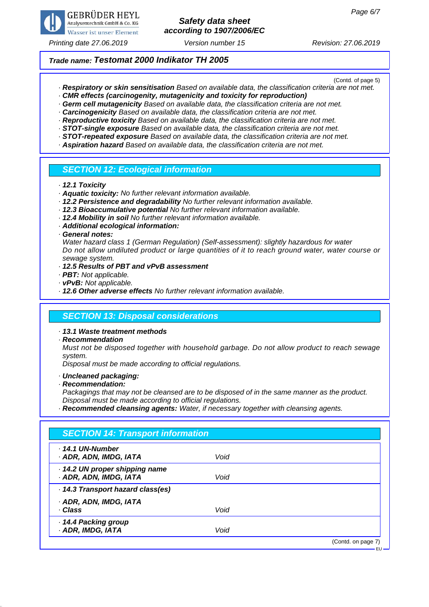

## *Safety data sheet according to 1907/2006/EC*

*Printing date 27.06.2019 Revision: 27.06.2019 Version number 15*

### *Trade name: Testomat 2000 Indikator TH 2005*

(Contd. of page 5)

- *· Respiratory or skin sensitisation Based on available data, the classification criteria are not met.*
- *· CMR effects (carcinogenity, mutagenicity and toxicity for reproduction)*
- *· Germ cell mutagenicity Based on available data, the classification criteria are not met.*
- *· Carcinogenicity Based on available data, the classification criteria are not met.*
- *· Reproductive toxicity Based on available data, the classification criteria are not met. · STOT-single exposure Based on available data, the classification criteria are not met.*
- *· STOT-repeated exposure Based on available data, the classification criteria are not met.*
- *· Aspiration hazard Based on available data, the classification criteria are not met.*

#### *SECTION 12: Ecological information*

*· 12.1 Toxicity*

- *· Aquatic toxicity: No further relevant information available.*
- *· 12.2 Persistence and degradability No further relevant information available.*
- *· 12.3 Bioaccumulative potential No further relevant information available.*
- *· 12.4 Mobility in soil No further relevant information available.*
- *· Additional ecological information:*

*· General notes:*

*Water hazard class 1 (German Regulation) (Self-assessment): slightly hazardous for water Do not allow undiluted product or large quantities of it to reach ground water, water course or sewage system.*

- *· 12.5 Results of PBT and vPvB assessment*
- *· PBT: Not applicable.*
- *· vPvB: Not applicable.*
- *· 12.6 Other adverse effects No further relevant information available.*

### *SECTION 13: Disposal considerations*

*· 13.1 Waste treatment methods*

*· Recommendation*

*Must not be disposed together with household garbage. Do not allow product to reach sewage system.*

*Disposal must be made according to official regulations.*

- *· Uncleaned packaging:*
- *· Recommendation:*

*Packagings that may not be cleansed are to be disposed of in the same manner as the product. Disposal must be made according to official regulations.*

*· Recommended cleansing agents: Water, if necessary together with cleansing agents.*

| $\cdot$ 14.1 UN-Number            |      |  |
|-----------------------------------|------|--|
| · ADR, ADN, IMDG, IATA            | Void |  |
| · 14.2 UN proper shipping name    |      |  |
| · ADR, ADN, IMDG, IATA            | Void |  |
| · 14.3 Transport hazard class(es) |      |  |
| · ADR, ADN, IMDG, IATA            |      |  |
| · Class                           | Void |  |
| · 14.4 Packing group              |      |  |
| · ADR, IMDG, IATA                 | Void |  |